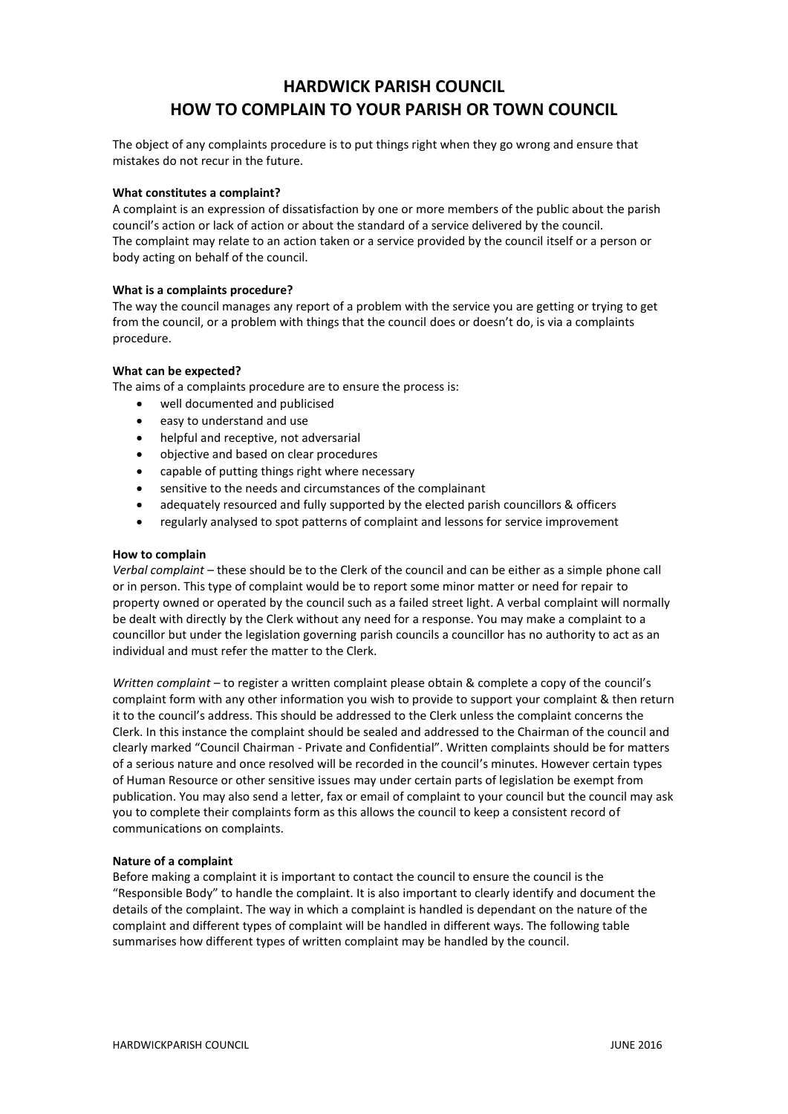# **HARDWICK PARISH COUNCIL HOW TO COMPLAIN TO YOUR PARISH OR TOWN COUNCIL**

The object of any complaints procedure is to put things right when they go wrong and ensure that mistakes do not recur in the future.

#### **What constitutes a complaint?**

A complaint is an expression of dissatisfaction by one or more members of the public about the parish council's action or lack of action or about the standard of a service delivered by the council. The complaint may relate to an action taken or a service provided by the council itself or a person or body acting on behalf of the council.

## **What is a complaints procedure?**

The way the council manages any report of a problem with the service you are getting or trying to get from the council, or a problem with things that the council does or doesn't do, is via a complaints procedure.

## **What can be expected?**

The aims of a complaints procedure are to ensure the process is:

- well documented and publicised
- easy to understand and use
- helpful and receptive, not adversarial
- objective and based on clear procedures
- capable of putting things right where necessary
- sensitive to the needs and circumstances of the complainant
- adequately resourced and fully supported by the elected parish councillors & officers
- regularly analysed to spot patterns of complaint and lessons for service improvement

#### **How to complain**

*Verbal complaint* – these should be to the Clerk of the council and can be either as a simple phone call or in person. This type of complaint would be to report some minor matter or need for repair to property owned or operated by the council such as a failed street light. A verbal complaint will normally be dealt with directly by the Clerk without any need for a response. You may make a complaint to a councillor but under the legislation governing parish councils a councillor has no authority to act as an individual and must refer the matter to the Clerk.

*Written complaint* – to register a written complaint please obtain & complete a copy of the council's complaint form with any other information you wish to provide to support your complaint & then return it to the council's address. This should be addressed to the Clerk unless the complaint concerns the Clerk. In this instance the complaint should be sealed and addressed to the Chairman of the council and clearly marked "Council Chairman - Private and Confidential". Written complaints should be for matters of a serious nature and once resolved will be recorded in the council's minutes. However certain types of Human Resource or other sensitive issues may under certain parts of legislation be exempt from publication. You may also send a letter, fax or email of complaint to your council but the council may ask you to complete their complaints form as this allows the council to keep a consistent record of communications on complaints.

#### **Nature of a complaint**

Before making a complaint it is important to contact the council to ensure the council is the "Responsible Body" to handle the complaint. It is also important to clearly identify and document the details of the complaint. The way in which a complaint is handled is dependant on the nature of the complaint and different types of complaint will be handled in different ways. The following table summarises how different types of written complaint may be handled by the council.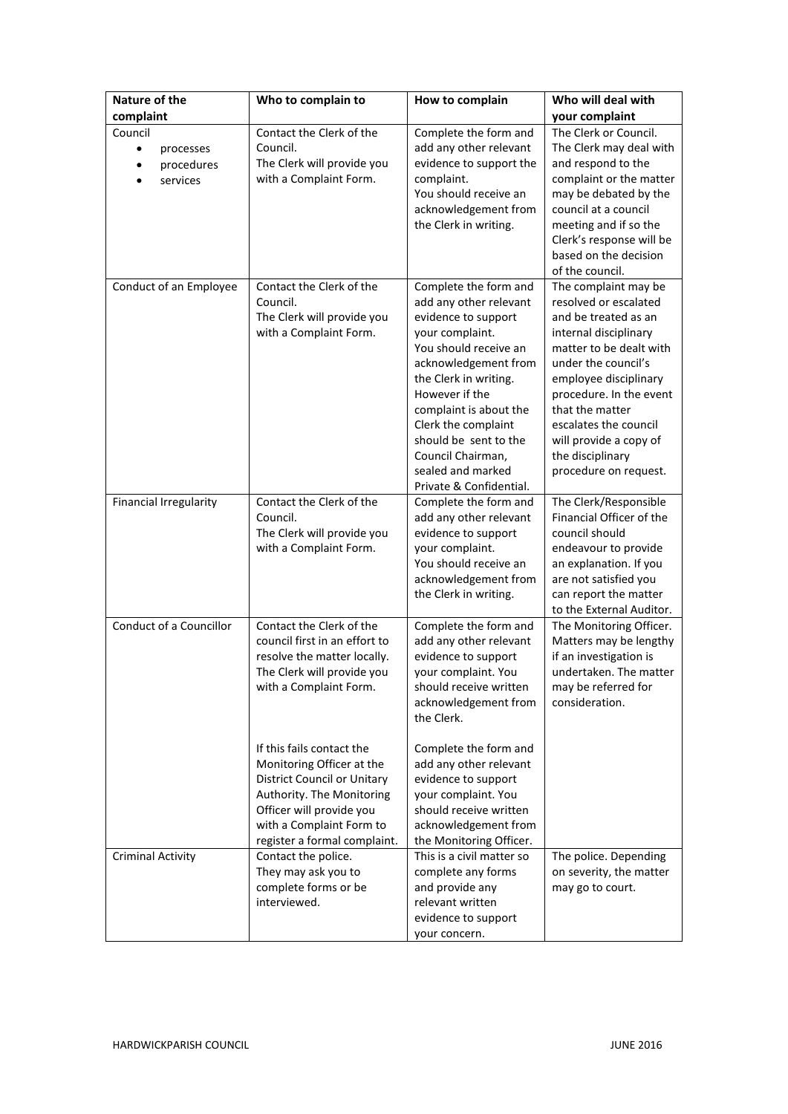| Nature of the            | Who to complain to                                              | How to complain                                 | Who will deal with                             |
|--------------------------|-----------------------------------------------------------------|-------------------------------------------------|------------------------------------------------|
| complaint                |                                                                 |                                                 | your complaint                                 |
| Council                  | Contact the Clerk of the                                        | Complete the form and                           | The Clerk or Council.                          |
| $\bullet$<br>processes   | Council.                                                        | add any other relevant                          | The Clerk may deal with                        |
| procedures<br>$\bullet$  | The Clerk will provide you                                      | evidence to support the                         | and respond to the                             |
| services                 | with a Complaint Form.                                          | complaint.                                      | complaint or the matter                        |
|                          |                                                                 | You should receive an                           | may be debated by the                          |
|                          |                                                                 | acknowledgement from                            | council at a council                           |
|                          |                                                                 | the Clerk in writing.                           | meeting and if so the                          |
|                          |                                                                 |                                                 | Clerk's response will be                       |
|                          |                                                                 |                                                 | based on the decision<br>of the council.       |
|                          | Contact the Clerk of the                                        |                                                 |                                                |
| Conduct of an Employee   | Council.                                                        | Complete the form and<br>add any other relevant | The complaint may be<br>resolved or escalated  |
|                          | The Clerk will provide you                                      | evidence to support                             | and be treated as an                           |
|                          | with a Complaint Form.                                          | your complaint.                                 | internal disciplinary                          |
|                          |                                                                 | You should receive an                           | matter to be dealt with                        |
|                          |                                                                 | acknowledgement from                            | under the council's                            |
|                          |                                                                 | the Clerk in writing.                           | employee disciplinary                          |
|                          |                                                                 | However if the                                  | procedure. In the event                        |
|                          |                                                                 | complaint is about the                          | that the matter                                |
|                          |                                                                 | Clerk the complaint                             | escalates the council                          |
|                          |                                                                 | should be sent to the                           | will provide a copy of                         |
|                          |                                                                 | Council Chairman,                               | the disciplinary                               |
|                          |                                                                 | sealed and marked                               | procedure on request.                          |
|                          |                                                                 | Private & Confidential.                         |                                                |
| Financial Irregularity   | Contact the Clerk of the                                        | Complete the form and                           | The Clerk/Responsible                          |
|                          | Council.                                                        | add any other relevant                          | Financial Officer of the                       |
|                          | The Clerk will provide you                                      | evidence to support                             | council should                                 |
|                          | with a Complaint Form.                                          | your complaint.<br>You should receive an        | endeavour to provide<br>an explanation. If you |
|                          |                                                                 | acknowledgement from                            | are not satisfied you                          |
|                          |                                                                 | the Clerk in writing.                           | can report the matter                          |
|                          |                                                                 |                                                 | to the External Auditor.                       |
| Conduct of a Councillor  | Contact the Clerk of the                                        | Complete the form and                           | The Monitoring Officer.                        |
|                          | council first in an effort to                                   | add any other relevant                          | Matters may be lengthy                         |
|                          | resolve the matter locally.                                     | evidence to support                             | if an investigation is                         |
|                          | The Clerk will provide you                                      | your complaint. You                             | undertaken. The matter                         |
|                          | with a Complaint Form.                                          | should receive written                          | may be referred for                            |
|                          |                                                                 | acknowledgement from                            | consideration.                                 |
|                          |                                                                 | the Clerk.                                      |                                                |
|                          |                                                                 |                                                 |                                                |
|                          | If this fails contact the                                       | Complete the form and                           |                                                |
|                          | Monitoring Officer at the                                       | add any other relevant                          |                                                |
|                          | <b>District Council or Unitary</b><br>Authority. The Monitoring | evidence to support<br>your complaint. You      |                                                |
|                          | Officer will provide you                                        | should receive written                          |                                                |
|                          | with a Complaint Form to                                        | acknowledgement from                            |                                                |
|                          | register a formal complaint.                                    | the Monitoring Officer.                         |                                                |
| <b>Criminal Activity</b> | Contact the police.                                             | This is a civil matter so                       | The police. Depending                          |
|                          | They may ask you to                                             | complete any forms                              | on severity, the matter                        |
|                          | complete forms or be                                            | and provide any                                 | may go to court.                               |
|                          | interviewed.                                                    | relevant written                                |                                                |
|                          |                                                                 | evidence to support                             |                                                |
|                          |                                                                 | your concern.                                   |                                                |